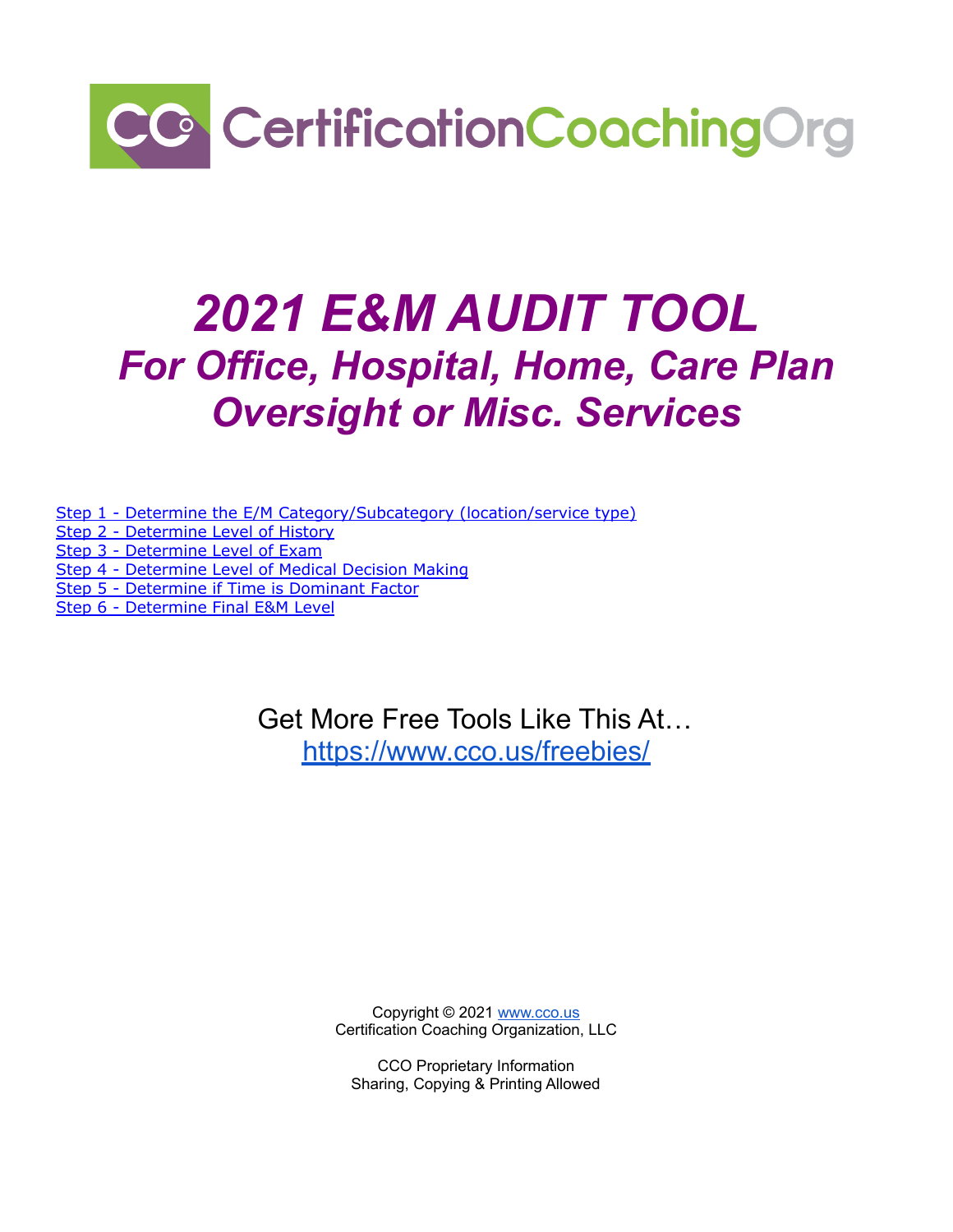

## *2021 E&M AUDIT TOOL For Office, Hospital, Home, Care Plan Oversight or Misc. Services*

Step 1 - Determine the E/M [Category/Subcategory](#page-1-0) (location/service type)

Step 2 - [Determine](#page-1-1) Level of History

Step 3 - [Determine](#page-5-0) Level of Exam

Step 4 - [Determine](#page-5-0) Level of Medical Decision Making

Step 5 - [Determine](#page-6-0) if Time is Dominant Factor

Step 6 - [Determine](#page-7-0) Final E&M Level

Get More Free Tools Like This At… <https://www.cco.us/freebies/>

> Copyright © 2021 [www.cco.us](http://www.cco.us) Certification Coaching Organization, LLC

CCO Proprietary Information Sharing, Copying & Printing Allowed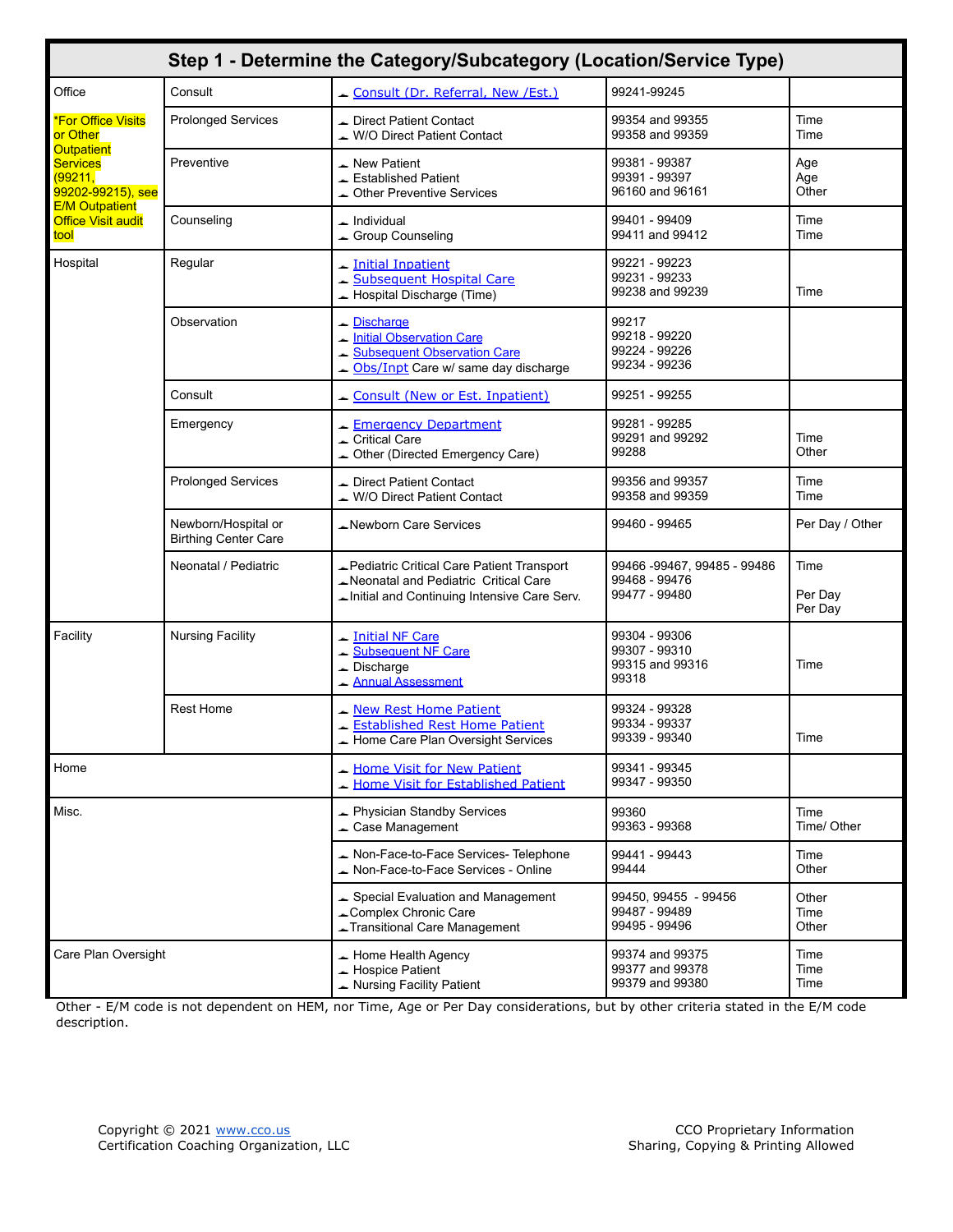<span id="page-1-0"></span>

|                                                                                                               |                                                    | Step 1 - Determine the Category/Subcategory (Location/Service Type)                                                              |                                                               |                            |
|---------------------------------------------------------------------------------------------------------------|----------------------------------------------------|----------------------------------------------------------------------------------------------------------------------------------|---------------------------------------------------------------|----------------------------|
| Office                                                                                                        | Consult                                            | Consult (Dr. Referral, New /Est.)                                                                                                | 99241-99245                                                   |                            |
| <b>*For Office Visits</b><br>or Other<br><b>Outpatient</b><br><b>Services</b><br>(99211,<br>99202-99215), see | <b>Prolonged Services</b>                          | Direct Patient Contact<br>W/O Direct Patient Contact                                                                             | 99354 and 99355<br>99358 and 99359                            | Time<br>Time               |
|                                                                                                               | Preventive                                         | New Patient<br>Established Patient<br>▲ Other Preventive Services                                                                | 99381 - 99387<br>99391 - 99397<br>96160 and 96161             | Age<br>Age<br>Other        |
| <b>E/M Outpatient</b><br><b>Office Visit audit</b><br>tool                                                    | Counseling                                         | Individual<br>Group Counseling                                                                                                   | 99401 - 99409<br>99411 and 99412                              | Time<br>Time               |
| Hospital                                                                                                      | Regular                                            | Initial Inpatient<br>Subsequent Hospital Care<br>Hospital Discharge (Time)                                                       | 99221 - 99223<br>99231 - 99233<br>99238 and 99239             | Time                       |
|                                                                                                               | Observation                                        | Discharge<br><b>Initial Observation Care</b><br>Subsequent Observation Care<br>Obs/Inpt Care w/ same day discharge               | 99217<br>99218 - 99220<br>99224 - 99226<br>99234 - 99236      |                            |
|                                                                                                               | Consult                                            | Consult (New or Est. Inpatient)                                                                                                  | 99251 - 99255                                                 |                            |
|                                                                                                               | Emergency                                          | Emergency Department<br>Critical Care<br>Other (Directed Emergency Care)                                                         | 99281 - 99285<br>99291 and 99292<br>99288                     | Time<br>Other              |
|                                                                                                               | <b>Prolonged Services</b>                          | Direct Patient Contact<br>W/O Direct Patient Contact                                                                             | 99356 and 99357<br>99358 and 99359                            | Time<br>Time               |
|                                                                                                               | Newborn/Hospital or<br><b>Birthing Center Care</b> | Newborn Care Services                                                                                                            | 99460 - 99465                                                 | Per Day / Other            |
|                                                                                                               | Neonatal / Pediatric                               | Pediatric Critical Care Patient Transport<br>Neonatal and Pediatric Critical Care<br>Initial and Continuing Intensive Care Serv. | 99466 -99467, 99485 - 99486<br>99468 - 99476<br>99477 - 99480 | Time<br>Per Day<br>Per Day |
| Facility                                                                                                      | <b>Nursing Facility</b>                            | Initial NF Care<br>Subsequent NF Care<br>$\triangle$ Discharge<br>- Annual Assessment                                            | 99304 - 99306<br>99307 - 99310<br>99315 and 99316<br>99318    | Time                       |
|                                                                                                               | <b>Rest Home</b>                                   | New Rest Home Patient<br>Established Rest Home Patient<br>Home Care Plan Oversight Services                                      | 99324 - 99328<br>99334 - 99337<br>99339 - 99340               | Time                       |
| Home                                                                                                          |                                                    | Home Visit for New Patient<br>Home Visit for Established Patient                                                                 | 99341 - 99345<br>99347 - 99350                                |                            |
| Misc.                                                                                                         |                                                    | Physician Standby Services<br>Case Management                                                                                    | 99360<br>99363 - 99368                                        | Time<br>Time/ Other        |
|                                                                                                               |                                                    | Non-Face-to-Face Services- Telephone<br>Non-Face-to-Face Services - Online                                                       | 99441 - 99443<br>99444                                        | Time<br>Other              |
|                                                                                                               |                                                    | Special Evaluation and Management<br>Complex Chronic Care<br>Transitional Care Management                                        | 99450, 99455 - 99456<br>99487 - 99489<br>99495 - 99496        | Other<br>Time<br>Other     |
| Care Plan Oversight                                                                                           |                                                    | Home Health Agency<br>Hospice Patient<br>Nursing Facility Patient                                                                | 99374 and 99375<br>99377 and 99378<br>99379 and 99380         | Time<br>Time<br>Time       |

<span id="page-1-1"></span>Other - E/M code is not dependent on HEM, nor Time, Age or Per Day considerations, but by other criteria stated in the E/M code description.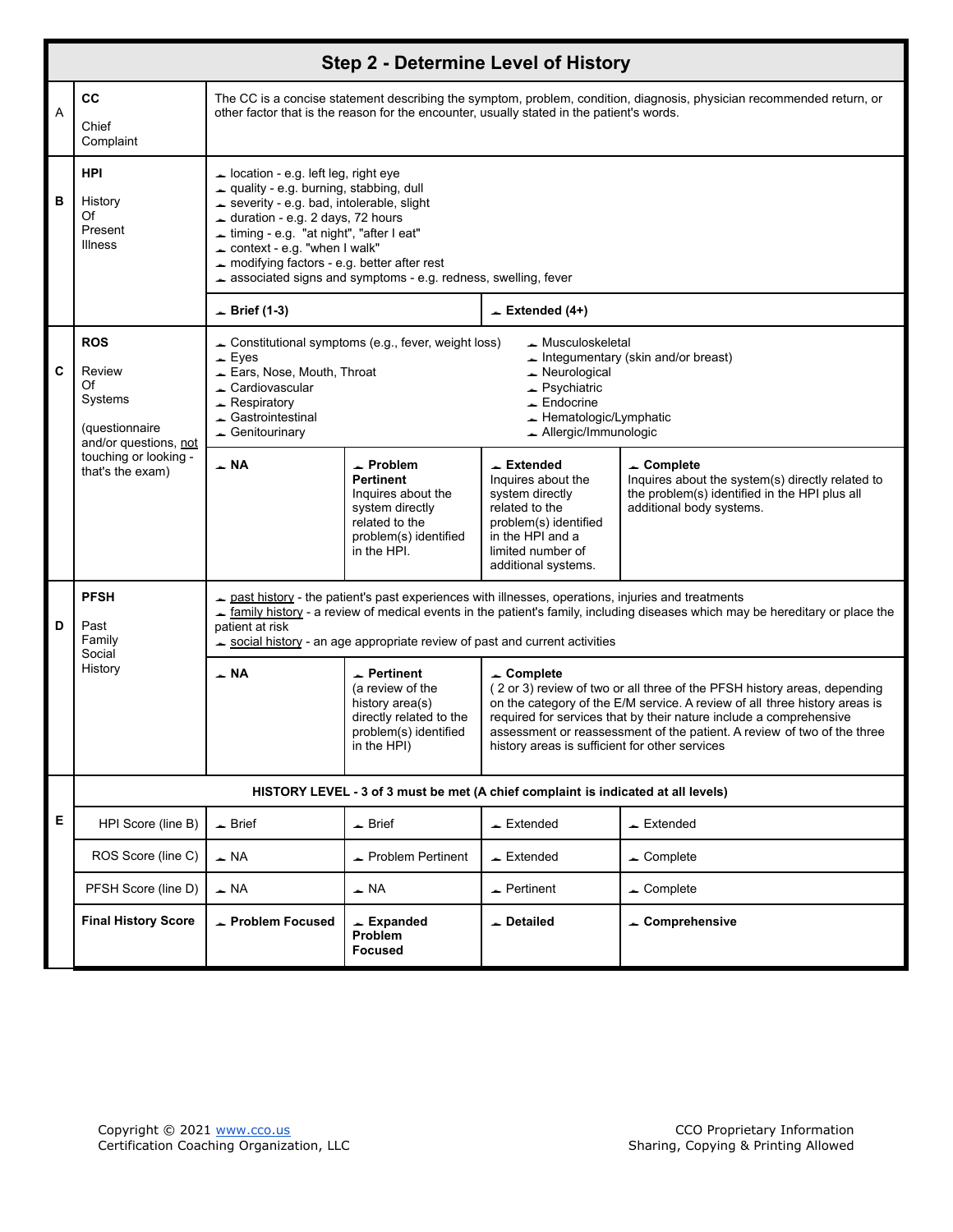|   |                                                                                  |                                                                                                                                                                                                                                                                                                                                                                                                                                                                                                                                      |                                                                                                                                                                                                                    | <b>Step 2 - Determine Level of History</b>                                                                                                                                            |                                                                                                                                                  |  |  |  |  |  |  |  |
|---|----------------------------------------------------------------------------------|--------------------------------------------------------------------------------------------------------------------------------------------------------------------------------------------------------------------------------------------------------------------------------------------------------------------------------------------------------------------------------------------------------------------------------------------------------------------------------------------------------------------------------------|--------------------------------------------------------------------------------------------------------------------------------------------------------------------------------------------------------------------|---------------------------------------------------------------------------------------------------------------------------------------------------------------------------------------|--------------------------------------------------------------------------------------------------------------------------------------------------|--|--|--|--|--|--|--|
| A | <b>CC</b><br>Chief<br>Complaint                                                  |                                                                                                                                                                                                                                                                                                                                                                                                                                                                                                                                      | The CC is a concise statement describing the symptom, problem, condition, diagnosis, physician recommended return, or<br>other factor that is the reason for the encounter, usually stated in the patient's words. |                                                                                                                                                                                       |                                                                                                                                                  |  |  |  |  |  |  |  |
| в | <b>HPI</b><br>History<br>Of<br>Present<br><b>Illness</b>                         | $\triangle$ location - e.g. left leg, right eye<br>quality - e.g. burning, stabbing, dull<br>severity - e.g. bad, intolerable, slight<br>duration - e.g. 2 days, 72 hours<br>Liming - e.g. "at night", "after I eat"<br>$\triangle$ context - e.g. "when I walk"<br>modifying factors - e.g. better after rest<br>$\triangle$ Brief (1-3)                                                                                                                                                                                            | associated signs and symptoms - e.g. redness, swelling, fever                                                                                                                                                      | $\angle$ Extended (4+)                                                                                                                                                                |                                                                                                                                                  |  |  |  |  |  |  |  |
| C | <b>ROS</b><br>Review<br>Of<br>Systems<br>(questionnaire<br>and/or questions, not | $\equiv$ Eyes<br>Ears, Nose, Mouth, Throat<br>Cardiovascular<br>$\triangle$ Respiratory<br>Gastrointestinal<br>$\triangle$ Genitourinary                                                                                                                                                                                                                                                                                                                                                                                             | Constitutional symptoms (e.g., fever, weight loss)                                                                                                                                                                 | ▲ Musculoskeletal<br>$\triangle$ Neurological<br>$\triangle$ Psychiatric<br>$\equiv$ Endocrine<br>Hematologic/Lymphatic<br>$\triangle$ Allergic/Immunologic                           | Integumentary (skin and/or breast)                                                                                                               |  |  |  |  |  |  |  |
|   | touching or looking -<br>that's the exam)                                        | $\sim$ NA                                                                                                                                                                                                                                                                                                                                                                                                                                                                                                                            | $\sim$ Problem<br><b>Pertinent</b><br>Inquires about the<br>system directly<br>related to the<br>problem(s) identified<br>in the HPI.                                                                              | $\overline{\phantom{a}}$ Extended<br>Inquires about the<br>system directly<br>related to the<br>problem(s) identified<br>in the HPI and a<br>limited number of<br>additional systems. | $\sim$ Complete<br>Inquires about the system(s) directly related to<br>the problem(s) identified in the HPI plus all<br>additional body systems. |  |  |  |  |  |  |  |
| D | <b>PFSH</b><br>Past<br>Family<br>Social                                          | patient at risk                                                                                                                                                                                                                                                                                                                                                                                                                                                                                                                      |                                                                                                                                                                                                                    | past history - the patient's past experiences with illnesses, operations, injuries and treatments<br>social history - an age appropriate review of past and current activities        | <u>a family history</u> - a review of medical events in the patient's family, including diseases which may be hereditary or place the            |  |  |  |  |  |  |  |
|   | History                                                                          | ⊥ NA<br>$\overline{\phantom{a}}$ Pertinent<br>$\sim$ Complete<br>(a review of the<br>(2 or 3) review of two or all three of the PFSH history areas, depending<br>history area(s)<br>on the category of the E/M service. A review of all three history areas is<br>directly related to the<br>required for services that by their nature include a comprehensive<br>problem(s) identified<br>assessment or reassessment of the patient. A review of two of the three<br>in the HPI)<br>history areas is sufficient for other services |                                                                                                                                                                                                                    |                                                                                                                                                                                       |                                                                                                                                                  |  |  |  |  |  |  |  |
|   |                                                                                  |                                                                                                                                                                                                                                                                                                                                                                                                                                                                                                                                      |                                                                                                                                                                                                                    | HISTORY LEVEL - 3 of 3 must be met (A chief complaint is indicated at all levels)                                                                                                     |                                                                                                                                                  |  |  |  |  |  |  |  |
| Е | HPI Score (line B)                                                               | $\triangle$ Brief                                                                                                                                                                                                                                                                                                                                                                                                                                                                                                                    | $\triangle$ Brief                                                                                                                                                                                                  | $\triangle$ Extended                                                                                                                                                                  | $\equiv$ Extended                                                                                                                                |  |  |  |  |  |  |  |
|   | ROS Score (line C)                                                               | $\triangle$ NA                                                                                                                                                                                                                                                                                                                                                                                                                                                                                                                       | Problem Pertinent                                                                                                                                                                                                  | $\overline{\phantom{a}}$ Extended                                                                                                                                                     | $\triangle$ Complete                                                                                                                             |  |  |  |  |  |  |  |
|   | PFSH Score (line D)                                                              | $\overline{\phantom{0}}$ NA                                                                                                                                                                                                                                                                                                                                                                                                                                                                                                          | $\overline{\phantom{a}}$ NA                                                                                                                                                                                        | $\triangle$ Pertinent                                                                                                                                                                 | $\triangle$ Complete                                                                                                                             |  |  |  |  |  |  |  |
|   | <b>Final History Score</b>                                                       | $\triangle$ Problem Focused                                                                                                                                                                                                                                                                                                                                                                                                                                                                                                          | $\angle$ Expanded<br>Problem<br><b>Focused</b>                                                                                                                                                                     | Detailed                                                                                                                                                                              | ← Comprehensive                                                                                                                                  |  |  |  |  |  |  |  |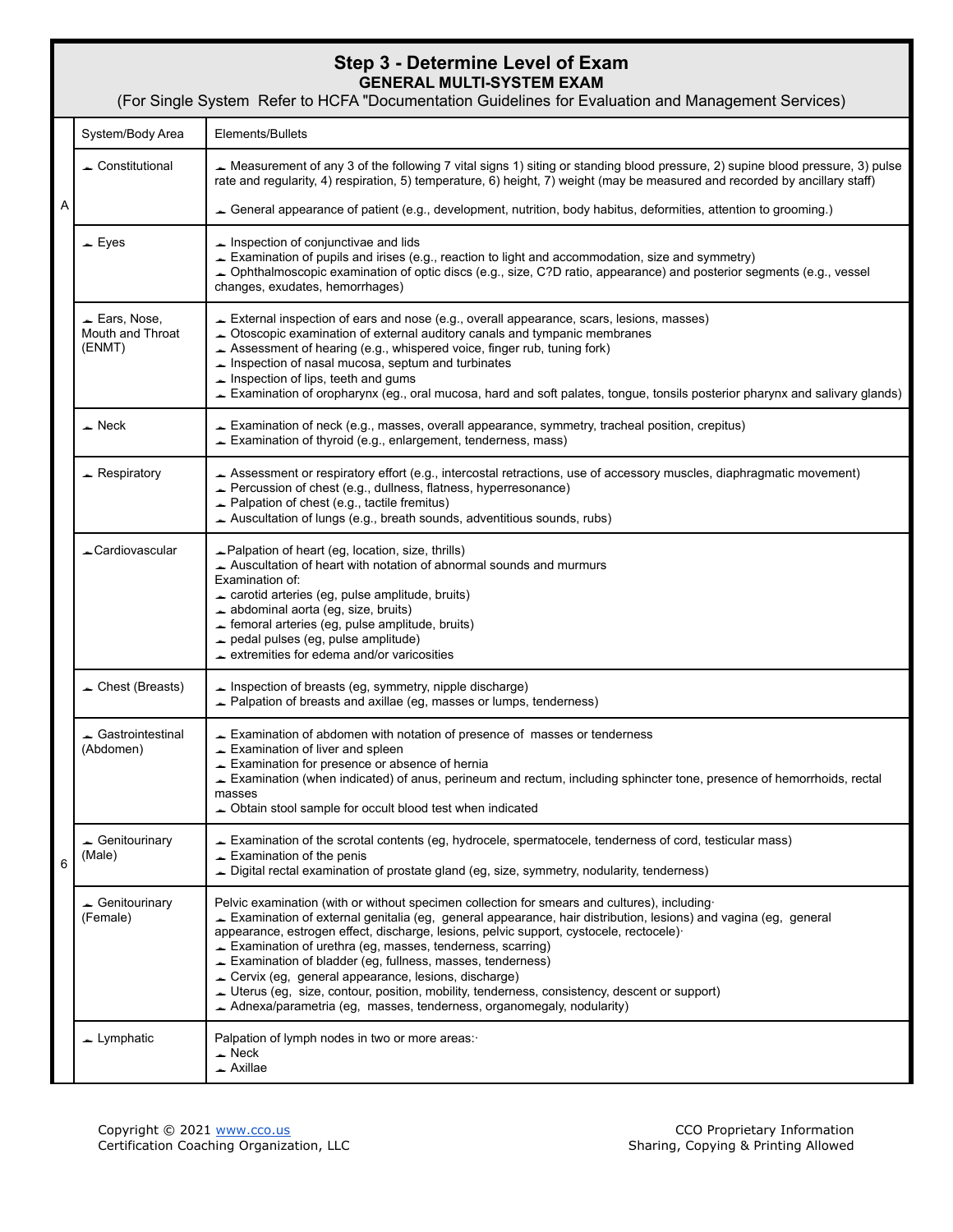## **Step 3 - Determine Level of Exam GENERAL MULTI-SYSTEM EXAM**

(For Single System Refer to HCFA "Documentation Guidelines for Evaluation and Management Services) A 6 System/Body Area | Elements/Bullets Constitutional Measurement of any 3 of the following 7 vital signs 1) siting or standing blood pressure, 2) supine blood pressure, 3) pulse rate and regularity, 4) respiration, 5) temperature, 6) height, 7) weight (may be measured and recorded by ancillary staff) General appearance of patient (e.g., development, nutrition, body habitus, deformities, attention to grooming.)  $\overline{\phantom{a}}$  Eyes **I**  $\overline{\phantom{a}}$  Inspection of conjunctivae and lids Examination of pupils and irises (e.g., reaction to light and accommodation, size and symmetry) Ophthalmoscopic examination of optic discs (e.g., size, C?D ratio, appearance) and posterior segments (e.g., vessel changes, exudates, hemorrhages) Ears, Nose, Mouth and Throat (ENMT) External inspection of ears and nose (e.g., overall appearance, scars, lesions, masses) Otoscopic examination of external auditory canals and tympanic membranes Assessment of hearing (e.g., whispered voice, finger rub, tuning fork)  $\blacktriangle$  Inspection of nasal mucosa, septum and turbinates  $\triangle$  Inspection of lips, teeth and gums Examination of oropharynx (eg., oral mucosa, hard and soft palates, tongue, tonsils posterior pharynx and salivary glands) Neck Examination of neck (e.g., masses, overall appearance, symmetry, tracheal position, crepitus) Examination of thyroid (e.g., enlargement, tenderness, mass) Respiratory Assessment or respiratory effort (e.g., intercostal retractions, use of accessory muscles, diaphragmatic movement) Percussion of chest (e.g., dullness, flatness, hyperresonance) Palpation of chest (e.g., tactile fremitus)  $\blacktriangle$  Auscultation of lungs (e.g., breath sounds, adventitious sounds, rubs) **Example 20** Palpation of heart (eg, location, size, thrills) Auscultation of heart with notation of abnormal sounds and murmurs Examination of:  $\triangle$  carotid arteries (eg, pulse amplitude, bruits) abdominal aorta (eg, size, bruits)  $\blacktriangle$  femoral arteries (eg, pulse amplitude, bruits) pedal pulses (eg, pulse amplitude) extremities for edema and/or varicosities Chest (Breasts)  $\Box$  Inspection of breasts (eq. symmetry, nipple discharge) Palpation of breasts and axillae (eg, masses or lumps, tenderness) Gastrointestinal (Abdomen) Examination of abdomen with notation of presence of masses or tenderness **Examination of liver and spleen Examination for presence or absence of hernia**  Examination (when indicated) of anus, perineum and rectum, including sphincter tone, presence of hemorrhoids, rectal masses Obtain stool sample for occult blood test when indicated Genitourinary (Male) Examination of the scrotal contents (eg, hydrocele, spermatocele, tenderness of cord, testicular mass)  $\equiv$  Examination of the penis Digital rectal examination of prostate gland (eg, size, symmetry, nodularity, tenderness) Genitourinary (Female) Pelvic examination (with or without specimen collection for smears and cultures), including· Examination of external genitalia (eg, general appearance, hair distribution, lesions) and vagina (eg, general appearance, estrogen effect, discharge, lesions, pelvic support, cystocele, rectocele)· Examination of urethra (eg, masses, tenderness, scarring) Examination of bladder (eg, fullness, masses, tenderness) Cervix (eg, general appearance, lesions, discharge) Uterus (eg, size, contour, position, mobility, tenderness, consistency, descent or support) Adnexa/parametria (eg, masses, tenderness, organomegaly, nodularity) Lymphatic Palpation of lymph nodes in two or more areas:  $\overline{\phantom{a}}$  Neck  $\triangle$  Axillae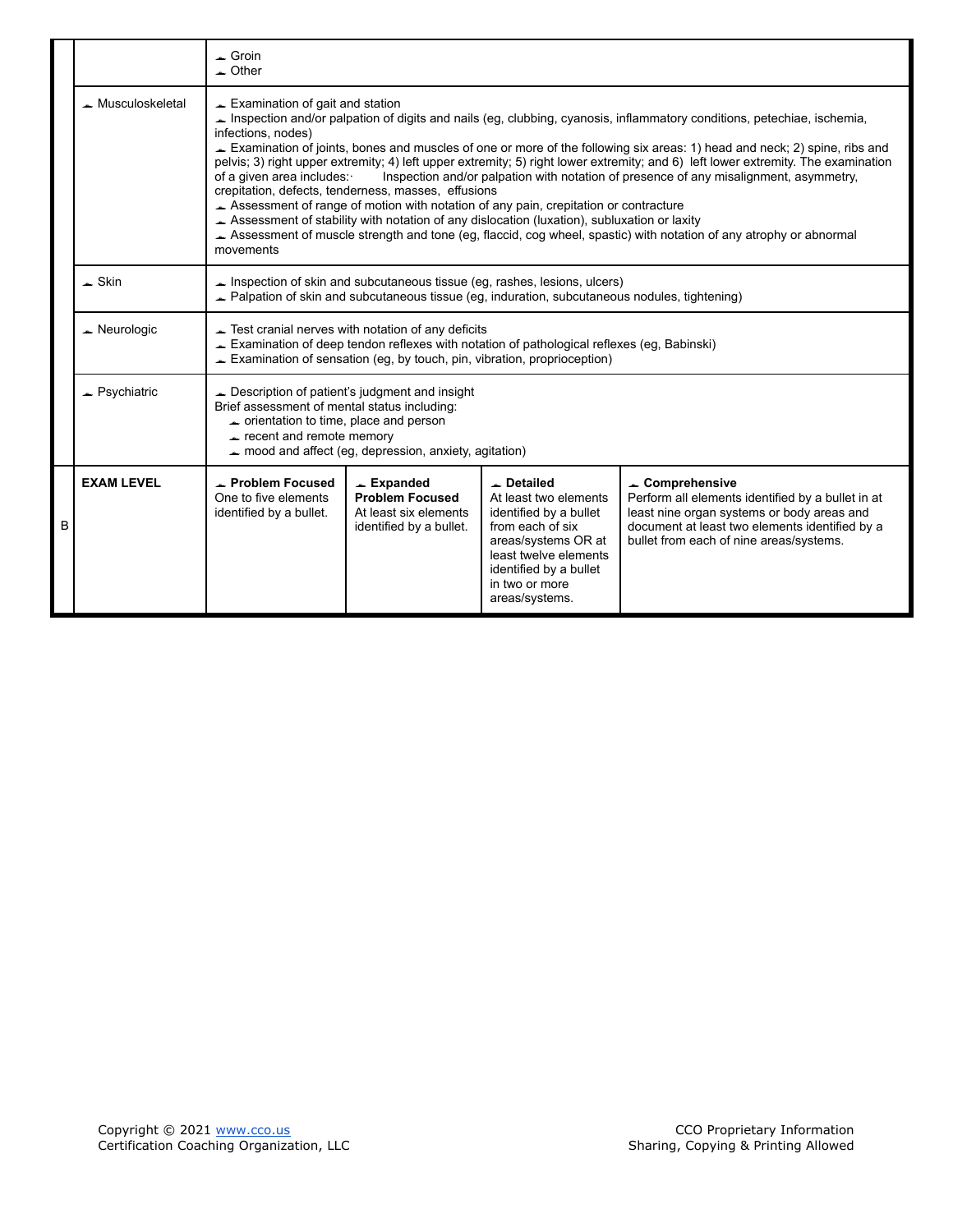|   |                             | $\overline{\phantom{a}}$ Groin<br>$\sim$ Other                                                                                                                                                   |                                                                                                                                                                                                                                                                                                                                                                                                                                                                                                                                                                                                                                                                                                                                                                                                                                                                                                                            |                                                                                                                                                                                                                        |                                                                                                                                                                                                               |  |  |  |  |  |  |  |  |
|---|-----------------------------|--------------------------------------------------------------------------------------------------------------------------------------------------------------------------------------------------|----------------------------------------------------------------------------------------------------------------------------------------------------------------------------------------------------------------------------------------------------------------------------------------------------------------------------------------------------------------------------------------------------------------------------------------------------------------------------------------------------------------------------------------------------------------------------------------------------------------------------------------------------------------------------------------------------------------------------------------------------------------------------------------------------------------------------------------------------------------------------------------------------------------------------|------------------------------------------------------------------------------------------------------------------------------------------------------------------------------------------------------------------------|---------------------------------------------------------------------------------------------------------------------------------------------------------------------------------------------------------------|--|--|--|--|--|--|--|--|
|   | $\triangle$ Musculoskeletal | infections, nodes)<br>movements                                                                                                                                                                  | $\equiv$ Examination of gait and station<br>Inspection and/or palpation of digits and nails (eg, clubbing, cyanosis, inflammatory conditions, petechiae, ischemia,<br>Examination of joints, bones and muscles of one or more of the following six areas: 1) head and neck; 2) spine, ribs and<br>pelvis; 3) right upper extremity; 4) left upper extremity; 5) right lower extremity; and 6) left lower extremity. The examination<br>Inspection and/or palpation with notation of presence of any misalignment, asymmetry,<br>of a given area includes:<br>crepitation, defects, tenderness, masses, effusions<br>Assessment of range of motion with notation of any pain, crepitation or contracture<br>Assessment of stability with notation of any dislocation (luxation), subluxation or laxity<br>Assessment of muscle strength and tone (eg, flaccid, cog wheel, spastic) with notation of any atrophy or abnormal |                                                                                                                                                                                                                        |                                                                                                                                                                                                               |  |  |  |  |  |  |  |  |
|   | $\triangle$ Skin            |                                                                                                                                                                                                  | Inspection of skin and subcutaneous tissue (eg, rashes, lesions, ulcers)<br>Palpation of skin and subcutaneous tissue (eg, induration, subcutaneous nodules, tightening)                                                                                                                                                                                                                                                                                                                                                                                                                                                                                                                                                                                                                                                                                                                                                   |                                                                                                                                                                                                                        |                                                                                                                                                                                                               |  |  |  |  |  |  |  |  |
|   | $\triangle$ Neurologic      |                                                                                                                                                                                                  | $\blacktriangleright$ Test cranial nerves with notation of any deficits<br>$\blacktriangleright$ Examination of sensation (eg, by touch, pin, vibration, proprioception)                                                                                                                                                                                                                                                                                                                                                                                                                                                                                                                                                                                                                                                                                                                                                   | Examination of deep tendon reflexes with notation of pathological reflexes (eg, Babinski)                                                                                                                              |                                                                                                                                                                                                               |  |  |  |  |  |  |  |  |
|   | $\triangle$ Psychiatric     | $\triangle$ Description of patient's judgment and insight<br>Brief assessment of mental status including:<br>$\rightarrow$ orientation to time, place and person<br>$r$ recent and remote memory | mood and affect (eg, depression, anxiety, agitation)                                                                                                                                                                                                                                                                                                                                                                                                                                                                                                                                                                                                                                                                                                                                                                                                                                                                       |                                                                                                                                                                                                                        |                                                                                                                                                                                                               |  |  |  |  |  |  |  |  |
| в | <b>EXAM LEVEL</b>           | $\overline{\phantom{a}}$ Problem Focused<br>One to five elements<br>identified by a bullet.                                                                                                      | $\overline{\phantom{a}}$ Expanded<br><b>Problem Focused</b><br>At least six elements<br>identified by a bullet.                                                                                                                                                                                                                                                                                                                                                                                                                                                                                                                                                                                                                                                                                                                                                                                                            | $\overline{\phantom{a}}$ Detailed<br>At least two elements<br>identified by a bullet<br>from each of six<br>areas/systems OR at<br>least twelve elements<br>identified by a bullet<br>in two or more<br>areas/systems. | Comprehensive<br>Perform all elements identified by a bullet in at<br>least nine organ systems or body areas and<br>document at least two elements identified by a<br>bullet from each of nine areas/systems. |  |  |  |  |  |  |  |  |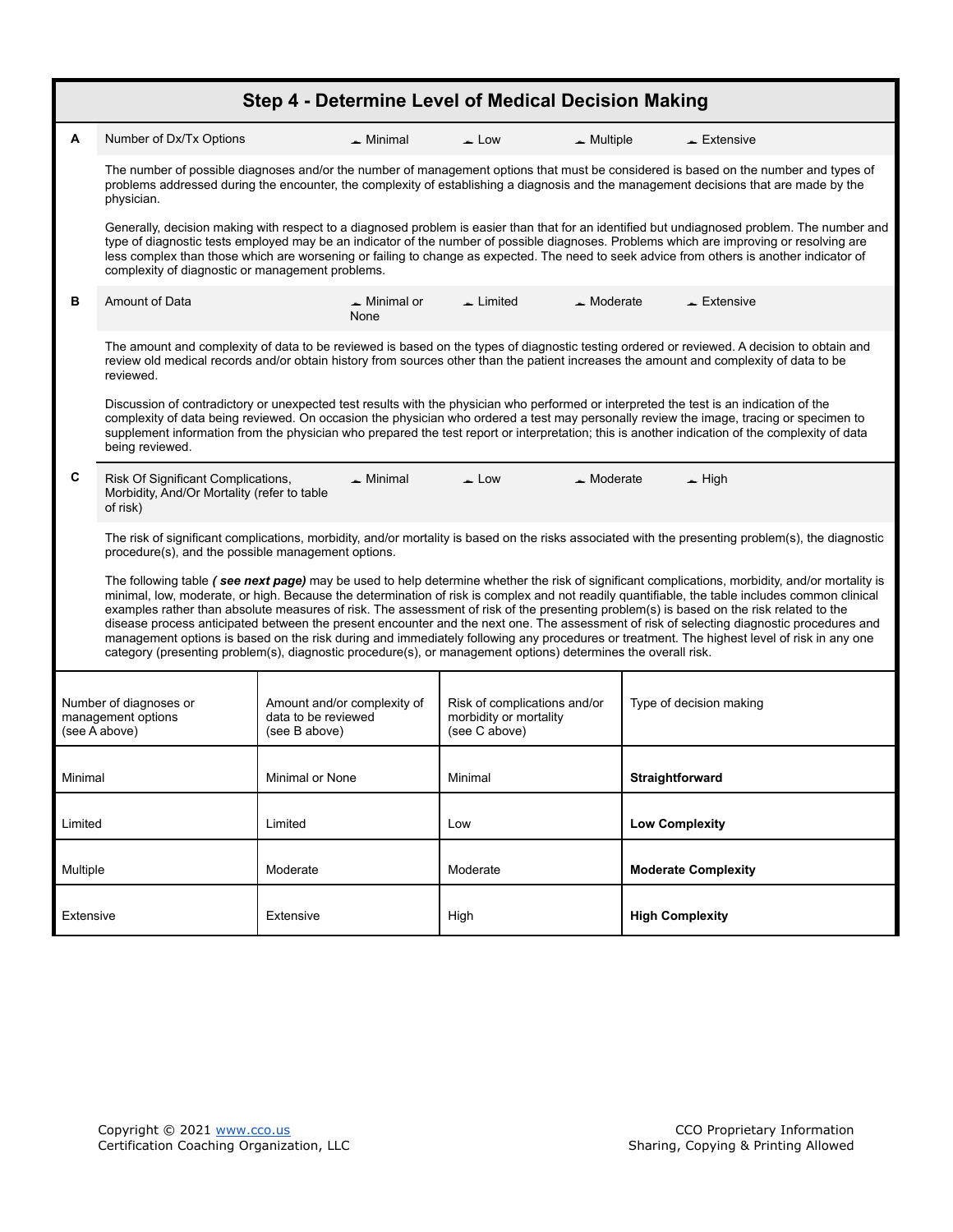<span id="page-5-0"></span>

|           |                                                               | Step 4 - Determine Level of Medical Decision Making                                                                                                                  |                                                                         |                                                                                                                                                                                                                                                                                                                                                                                                                                                                                                                                                                                                                                                                                                                                         |  |  |  |  |
|-----------|---------------------------------------------------------------|----------------------------------------------------------------------------------------------------------------------------------------------------------------------|-------------------------------------------------------------------------|-----------------------------------------------------------------------------------------------------------------------------------------------------------------------------------------------------------------------------------------------------------------------------------------------------------------------------------------------------------------------------------------------------------------------------------------------------------------------------------------------------------------------------------------------------------------------------------------------------------------------------------------------------------------------------------------------------------------------------------------|--|--|--|--|
| A         | Number of Dx/Tx Options                                       | $\triangle$ Minimal                                                                                                                                                  | $\triangle$ Low<br>$\triangle$ Multiple                                 | $\triangle$ Extensive                                                                                                                                                                                                                                                                                                                                                                                                                                                                                                                                                                                                                                                                                                                   |  |  |  |  |
|           | physician.                                                    |                                                                                                                                                                      |                                                                         | The number of possible diagnoses and/or the number of management options that must be considered is based on the number and types of<br>problems addressed during the encounter, the complexity of establishing a diagnosis and the management decisions that are made by the                                                                                                                                                                                                                                                                                                                                                                                                                                                           |  |  |  |  |
|           | complexity of diagnostic or management problems.              |                                                                                                                                                                      |                                                                         | Generally, decision making with respect to a diagnosed problem is easier than that for an identified but undiagnosed problem. The number and<br>type of diagnostic tests employed may be an indicator of the number of possible diagnoses. Problems which are improving or resolving are<br>less complex than those which are worsening or failing to change as expected. The need to seek advice from others is another indicator of                                                                                                                                                                                                                                                                                                   |  |  |  |  |
| в         | Amount of Data                                                | $\blacktriangle$ Minimal or<br>None                                                                                                                                  | $\overline{\phantom{a}}$ Limited<br>$\triangle$ Moderate                | $\triangle$ Extensive                                                                                                                                                                                                                                                                                                                                                                                                                                                                                                                                                                                                                                                                                                                   |  |  |  |  |
|           | reviewed.                                                     |                                                                                                                                                                      |                                                                         | The amount and complexity of data to be reviewed is based on the types of diagnostic testing ordered or reviewed. A decision to obtain and<br>review old medical records and/or obtain history from sources other than the patient increases the amount and complexity of data to be                                                                                                                                                                                                                                                                                                                                                                                                                                                    |  |  |  |  |
|           | being reviewed.                                               |                                                                                                                                                                      |                                                                         | Discussion of contradictory or unexpected test results with the physician who performed or interpreted the test is an indication of the<br>complexity of data being reviewed. On occasion the physician who ordered a test may personally review the image, tracing or specimen to<br>supplement information from the physician who prepared the test report or interpretation; this is another indication of the complexity of data                                                                                                                                                                                                                                                                                                    |  |  |  |  |
| C         | of risk)                                                      | $\triangle$ Low<br>Risk Of Significant Complications,<br>$\triangle$ Minimal<br>$\triangle$ Moderate<br>$\equiv$ High<br>Morbidity, And/Or Mortality (refer to table |                                                                         |                                                                                                                                                                                                                                                                                                                                                                                                                                                                                                                                                                                                                                                                                                                                         |  |  |  |  |
|           | procedure(s), and the possible management options.            |                                                                                                                                                                      |                                                                         | The risk of significant complications, morbidity, and/or mortality is based on the risks associated with the presenting problem(s), the diagnostic                                                                                                                                                                                                                                                                                                                                                                                                                                                                                                                                                                                      |  |  |  |  |
|           |                                                               | category (presenting problem(s), diagnostic procedure(s), or management options) determines the overall risk.                                                        |                                                                         | The following table (see next page) may be used to help determine whether the risk of significant complications, morbidity, and/or mortality is<br>minimal, low, moderate, or high. Because the determination of risk is complex and not readily quantifiable, the table includes common clinical<br>examples rather than absolute measures of risk. The assessment of risk of the presenting problem(s) is based on the risk related to the<br>disease process anticipated between the present encounter and the next one. The assessment of risk of selecting diagnostic procedures and<br>management options is based on the risk during and immediately following any procedures or treatment. The highest level of risk in any one |  |  |  |  |
|           | Number of diagnoses or<br>management options<br>(see A above) | Amount and/or complexity of<br>data to be reviewed<br>(see B above)                                                                                                  | Risk of complications and/or<br>morbidity or mortality<br>(see C above) | Type of decision making                                                                                                                                                                                                                                                                                                                                                                                                                                                                                                                                                                                                                                                                                                                 |  |  |  |  |
| Minimal   |                                                               | Minimal or None                                                                                                                                                      | Minimal                                                                 | Straightforward                                                                                                                                                                                                                                                                                                                                                                                                                                                                                                                                                                                                                                                                                                                         |  |  |  |  |
| Limited   |                                                               | Limited                                                                                                                                                              | Low                                                                     | <b>Low Complexity</b>                                                                                                                                                                                                                                                                                                                                                                                                                                                                                                                                                                                                                                                                                                                   |  |  |  |  |
| Multiple  |                                                               | Moderate                                                                                                                                                             | Moderate                                                                | <b>Moderate Complexity</b>                                                                                                                                                                                                                                                                                                                                                                                                                                                                                                                                                                                                                                                                                                              |  |  |  |  |
| Extensive |                                                               | Extensive                                                                                                                                                            | High                                                                    | <b>High Complexity</b>                                                                                                                                                                                                                                                                                                                                                                                                                                                                                                                                                                                                                                                                                                                  |  |  |  |  |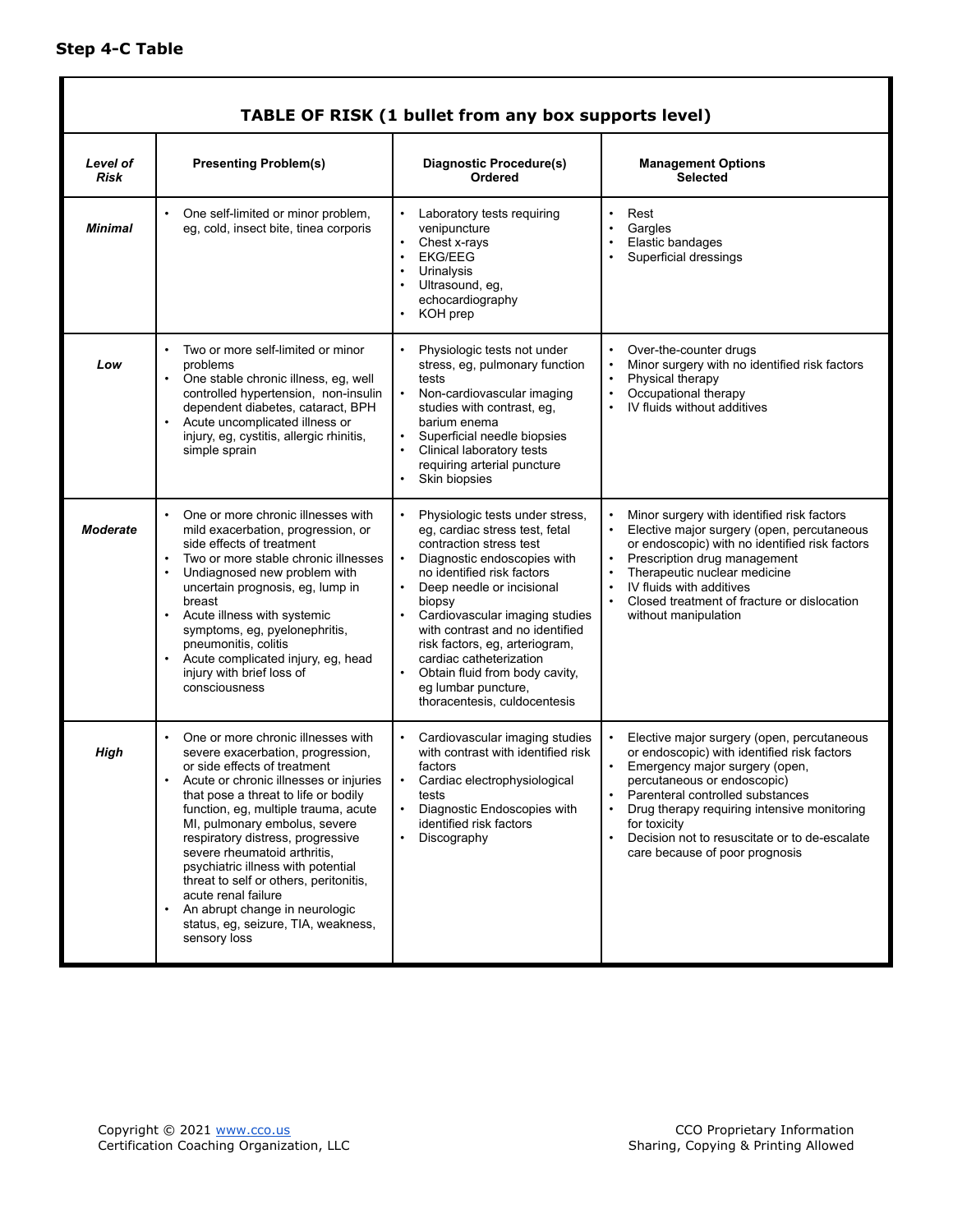Г

<span id="page-6-0"></span>

|                  |                                                                                                                                                                                                                                                                                                                                                                                                                                                                                                                                         | TABLE OF RISK (1 bullet from any box supports level)                                                                                                                                                                                                                                                                                                                                                                                     |                                                                                                                                                                                                                                                                                                                                                  |
|------------------|-----------------------------------------------------------------------------------------------------------------------------------------------------------------------------------------------------------------------------------------------------------------------------------------------------------------------------------------------------------------------------------------------------------------------------------------------------------------------------------------------------------------------------------------|------------------------------------------------------------------------------------------------------------------------------------------------------------------------------------------------------------------------------------------------------------------------------------------------------------------------------------------------------------------------------------------------------------------------------------------|--------------------------------------------------------------------------------------------------------------------------------------------------------------------------------------------------------------------------------------------------------------------------------------------------------------------------------------------------|
| Level of<br>Risk | <b>Presenting Problem(s)</b>                                                                                                                                                                                                                                                                                                                                                                                                                                                                                                            | Diagnostic Procedure(s)<br>Ordered                                                                                                                                                                                                                                                                                                                                                                                                       | <b>Management Options</b><br><b>Selected</b>                                                                                                                                                                                                                                                                                                     |
| <b>Minimal</b>   | One self-limited or minor problem,<br>eg, cold, insect bite, tinea corporis                                                                                                                                                                                                                                                                                                                                                                                                                                                             | • Laboratory tests requiring<br>venipuncture<br>Chest x-rays<br>$\bullet$<br><b>EKG/EEG</b><br>Urinalysis<br>$\bullet$<br>Ultrasound, eg,<br>echocardiography<br>KOH prep                                                                                                                                                                                                                                                                | Rest<br>Gargles<br>Elastic bandages<br>Superficial dressings                                                                                                                                                                                                                                                                                     |
| Low              | Two or more self-limited or minor<br>$\bullet$<br>problems<br>One stable chronic illness, eg, well<br>$\bullet$<br>controlled hypertension, non-insulin<br>dependent diabetes, cataract, BPH<br>Acute uncomplicated illness or<br>injury, eg, cystitis, allergic rhinitis,<br>simple sprain                                                                                                                                                                                                                                             | Physiologic tests not under<br>stress, eg, pulmonary function<br>tests<br>Non-cardiovascular imaging<br>$\bullet$<br>studies with contrast, eg,<br>barium enema<br>Superficial needle biopsies<br>Clinical laboratory tests<br>requiring arterial puncture<br>Skin biopsies<br>$\bullet$                                                                                                                                                 | Over-the-counter drugs<br>Minor surgery with no identified risk factors<br>Physical therapy<br>Occupational therapy<br>IV fluids without additives                                                                                                                                                                                               |
| <b>Moderate</b>  | One or more chronic illnesses with<br>mild exacerbation, progression, or<br>side effects of treatment<br>Two or more stable chronic illnesses<br>$\bullet$<br>$\bullet$<br>Undiagnosed new problem with<br>uncertain prognosis, eg, lump in<br>breast<br>Acute illness with systemic<br>symptoms, eg, pyelonephritis,<br>pneumonitis, colitis<br>Acute complicated injury, eg, head<br>injury with brief loss of<br>consciousness                                                                                                       | Physiologic tests under stress,<br>eg, cardiac stress test, fetal<br>contraction stress test<br>Diagnostic endoscopies with<br>no identified risk factors<br>Deep needle or incisional<br>biopsy<br>Cardiovascular imaging studies<br>with contrast and no identified<br>risk factors, eg, arteriogram,<br>cardiac catheterization<br>Obtain fluid from body cavity,<br>$\bullet$<br>eg lumbar puncture,<br>thoracentesis, culdocentesis | Minor surgery with identified risk factors<br>Elective major surgery (open, percutaneous<br>or endoscopic) with no identified risk factors<br>Prescription drug management<br>Therapeutic nuclear medicine<br>IV fluids with additives<br>Closed treatment of fracture or dislocation<br>without manipulation                                    |
| High             | One or more chronic illnesses with<br>severe exacerbation, progression,<br>or side effects of treatment<br>Acute or chronic illnesses or injuries<br>that pose a threat to life or bodily<br>function, eg, multiple trauma, acute<br>MI, pulmonary embolus, severe<br>respiratory distress, progressive<br>severe rheumatoid arthritis,<br>psychiatric illness with potential<br>threat to self or others, peritonitis,<br>acute renal failure<br>An abrupt change in neurologic<br>status, eg, seizure, TIA, weakness,<br>sensory loss | Cardiovascular imaging studies<br>$\bullet$<br>with contrast with identified risk<br>factors<br>Cardiac electrophysiological<br>tests<br>Diagnostic Endoscopies with<br>identified risk factors<br>Discography                                                                                                                                                                                                                           | Elective major surgery (open, percutaneous<br>or endoscopic) with identified risk factors<br>Emergency major surgery (open,<br>percutaneous or endoscopic)<br>Parenteral controlled substances<br>Drug therapy requiring intensive monitoring<br>for toxicity<br>Decision not to resuscitate or to de-escalate<br>care because of poor prognosis |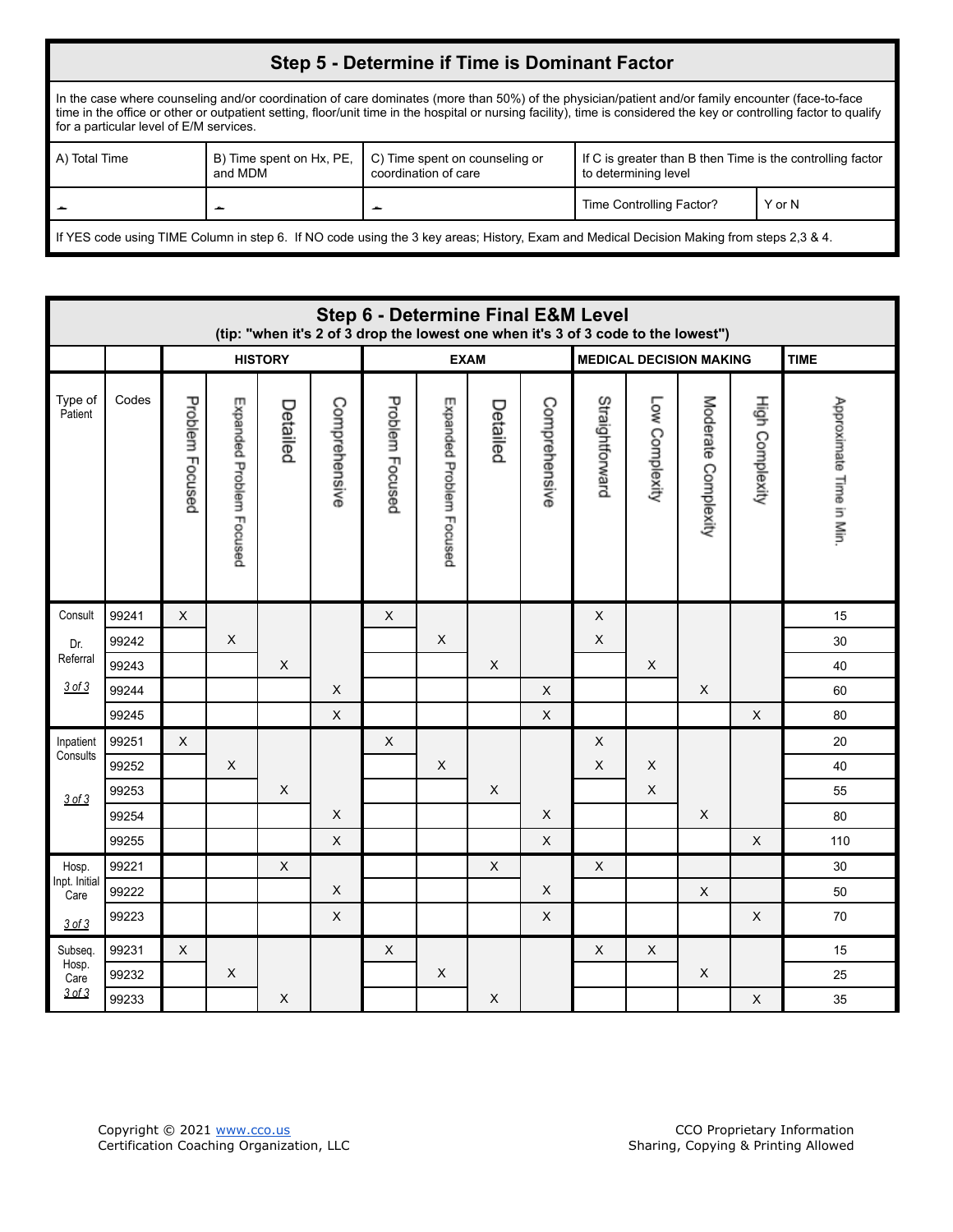## **Step 5 - Determine if Time is Dominant Factor**

In the case where counseling and/or coordination of care dominates (more than 50%) of the physician/patient and/or family encounter (face-to-face time in the office or other or outpatient setting, floor/unit time in the hospital or nursing facility), time is considered the key or controlling factor to qualify for a particular level of E/M services.

| A) Total Time                                                                                                                            | and MDM | B) Time spent on Hx, PE, $\mid$ C) Time spent on counseling or<br>coordination of care | If C is greater than B then Time is the controlling factor<br>to determining level |        |  |  |  |  |  |  |
|------------------------------------------------------------------------------------------------------------------------------------------|---------|----------------------------------------------------------------------------------------|------------------------------------------------------------------------------------|--------|--|--|--|--|--|--|
|                                                                                                                                          |         |                                                                                        | Time Controlling Factor?                                                           | Y or N |  |  |  |  |  |  |
| If YES code using TIME Column in step 6. If NO code using the 3 key areas; History, Exam and Medical Decision Making from steps 2,3 & 4. |         |                                                                                        |                                                                                    |        |  |  |  |  |  |  |

<span id="page-7-3"></span><span id="page-7-2"></span><span id="page-7-1"></span><span id="page-7-0"></span>

|                        | <b>Step 6 - Determine Final E&amp;M Level</b><br>(tip: "when it's 2 of 3 drop the lowest one when it's 3 of 3 code to the lowest") |                 |                          |             |                           |                 |                           |                |                           |                           |                |                           |                           |                          |
|------------------------|------------------------------------------------------------------------------------------------------------------------------------|-----------------|--------------------------|-------------|---------------------------|-----------------|---------------------------|----------------|---------------------------|---------------------------|----------------|---------------------------|---------------------------|--------------------------|
|                        | <b>EXAM</b><br><b>MEDICAL DECISION MAKING</b><br><b>HISTORY</b>                                                                    |                 |                          |             |                           |                 |                           |                |                           | <b>TIME</b>               |                |                           |                           |                          |
| Type of<br>Patient     | Codes                                                                                                                              | Problem Focused | Expanded Problem Focused | Detailed    | Comprehensive             | Problem Focused | Expanded Problem Focused  | Detailed       | Comprehensive             | Straightforward           | Low Complexity | Moderate Complexity       | High Complexity           | Approximate Time in Min. |
| Consult                | 99241                                                                                                                              | X               |                          |             |                           | $\pmb{\times}$  |                           |                |                           | $\sf X$                   |                |                           |                           | 15                       |
| Dr.                    | 99242                                                                                                                              |                 | $\mathsf X$              |             |                           |                 | $\mathsf X$               |                |                           | $\sf X$                   |                |                           |                           | 30                       |
| Referral               | 99243                                                                                                                              |                 |                          | $\mathsf X$ |                           |                 |                           | X              |                           |                           | $\times$       |                           |                           | 40                       |
| 3 of 3                 | 99244                                                                                                                              |                 |                          |             | $\mathsf X$               |                 |                           |                | $\boldsymbol{\mathsf{X}}$ |                           |                | $\mathsf X$               |                           | 60                       |
|                        | 99245                                                                                                                              |                 |                          |             | $\mathsf X$               |                 |                           |                | $\boldsymbol{\mathsf{X}}$ |                           |                |                           | $\boldsymbol{\mathsf{X}}$ | 80                       |
| Inpatient              | 99251                                                                                                                              | X               |                          |             |                           | X               |                           |                |                           | $\sf X$                   |                |                           |                           | 20                       |
| Consults               | 99252                                                                                                                              |                 | $\mathsf X$              |             |                           |                 | $\boldsymbol{\mathsf{X}}$ |                |                           | $\sf X$                   | X              |                           |                           | 40                       |
| 3 of 3                 | 99253                                                                                                                              |                 |                          | X           |                           |                 |                           | $\pmb{\times}$ |                           |                           | X              |                           |                           | 55                       |
|                        | 99254                                                                                                                              |                 |                          |             | $\mathsf X$               |                 |                           |                | $\mathsf X$               |                           |                | $\pmb{\times}$            |                           | 80                       |
|                        | 99255                                                                                                                              |                 |                          |             | $\mathsf X$               |                 |                           |                | X                         |                           |                |                           | $\pmb{\times}$            | 110                      |
| Hosp.<br>Inpt. Initial | 99221                                                                                                                              |                 |                          | $\mathsf X$ |                           |                 |                           | $\pmb{\times}$ |                           | $\boldsymbol{\mathsf{X}}$ |                |                           |                           | 30                       |
| Care                   | 99222                                                                                                                              |                 |                          |             | X                         |                 |                           |                | X                         |                           |                | $\boldsymbol{\mathsf{X}}$ |                           | 50                       |
| $3$ of $3$             | 99223                                                                                                                              |                 |                          |             | $\boldsymbol{\mathsf{X}}$ |                 |                           |                | $\mathsf X$               |                           |                |                           | $\pmb{\times}$            | 70                       |
| Subseq.                | 99231                                                                                                                              | X               |                          |             |                           | X               |                           |                |                           | $\boldsymbol{\mathsf{X}}$ | X              |                           |                           | 15                       |
| Hosp.<br>Care          | 99232                                                                                                                              |                 | $\mathsf X$              |             |                           |                 | $\boldsymbol{\mathsf{X}}$ |                |                           |                           |                | $\mathsf X$               |                           | 25                       |
| 3 of 3                 | 99233                                                                                                                              |                 |                          | X           |                           |                 |                           | $\mathsf X$    |                           |                           |                |                           | $\mathsf X$               | 35                       |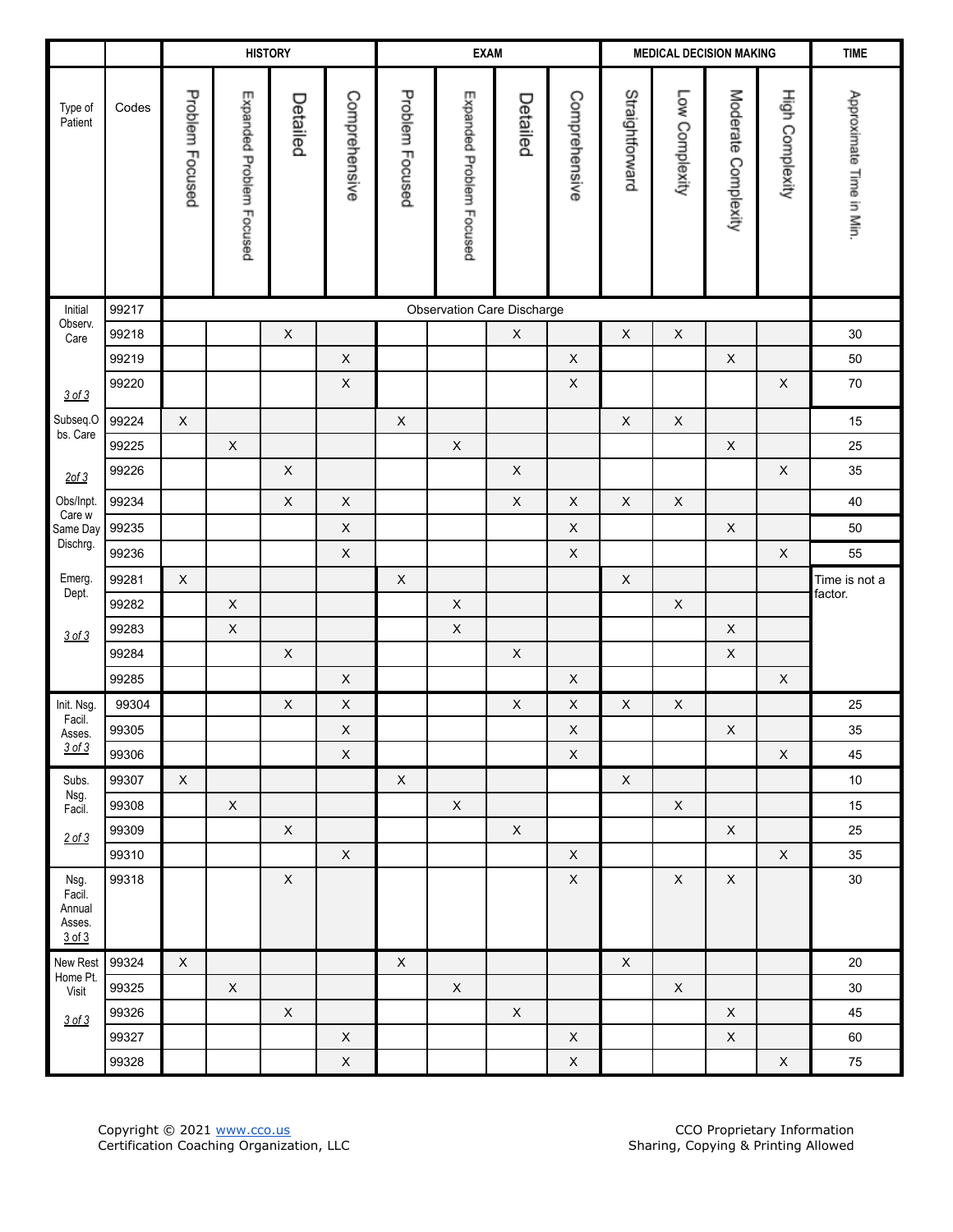<span id="page-8-7"></span><span id="page-8-6"></span><span id="page-8-5"></span><span id="page-8-4"></span><span id="page-8-3"></span><span id="page-8-2"></span><span id="page-8-1"></span><span id="page-8-0"></span>

|                                              |       |                 |                           | <b>HISTORY</b> |                           |                 | <b>EXAM</b>              |                            |                           | <b>MEDICAL DECISION MAKING</b> |                           |                           | <b>TIME</b>               |                          |
|----------------------------------------------|-------|-----------------|---------------------------|----------------|---------------------------|-----------------|--------------------------|----------------------------|---------------------------|--------------------------------|---------------------------|---------------------------|---------------------------|--------------------------|
| Type of<br>Patient                           | Codes | Problem Focused | Expanded Problem Focused  | Detailed       | Comprehensive             | Problem Focused | Expanded Problem Focused | Detailed                   | Comprehensive             | Straightforward                | Low Complexity            | Moderate Complexity       | High Complexity           | Approximate Time in Min. |
| Initial                                      | 99217 |                 |                           |                |                           |                 |                          | Observation Care Discharge |                           |                                |                           |                           |                           |                          |
| Observ.<br>Care                              | 99218 |                 |                           | $\mathsf X$    |                           |                 |                          | $\boldsymbol{\mathsf{X}}$  |                           | $\mathsf X$                    | $\boldsymbol{\mathsf{X}}$ |                           |                           | $30\,$                   |
|                                              | 99219 |                 |                           |                | $\mathsf X$               |                 |                          |                            | $\boldsymbol{\mathsf{X}}$ |                                |                           | $\boldsymbol{\mathsf{X}}$ |                           | 50                       |
| 3 of 3                                       | 99220 |                 |                           |                | $\mathsf X$               |                 |                          |                            | $\mathsf X$               |                                |                           |                           | $\mathsf X$               | $70\,$                   |
| Subseq.O                                     | 99224 | $\mathsf X$     |                           |                |                           | $\mathsf X$     |                          |                            |                           | $\mathsf X$                    | $\mathsf X$               |                           |                           | 15                       |
| bs. Care                                     | 99225 |                 | $\boldsymbol{\mathsf{X}}$ |                |                           |                 | $\mathsf X$              |                            |                           |                                |                           | $\mathsf X$               |                           | 25                       |
| $2$ of $3$                                   | 99226 |                 |                           | $\mathsf X$    |                           |                 |                          | $\mathsf X$                |                           |                                |                           |                           | $\boldsymbol{\mathsf{X}}$ | 35                       |
| Obs/Inpt.<br>Care w                          | 99234 |                 |                           | $\mathsf X$    | $\mathsf X$               |                 |                          | $\mathsf X$                | $\boldsymbol{\mathsf{X}}$ | $\mathsf X$                    | $\mathsf X$               |                           |                           | 40                       |
| Same Day                                     | 99235 |                 |                           |                | $\mathsf X$               |                 |                          |                            | $\boldsymbol{\mathsf{X}}$ |                                |                           | $\mathsf X$               |                           | 50                       |
| Dischrg.                                     | 99236 |                 |                           |                | $\mathsf X$               |                 |                          |                            | $\mathsf X$               |                                |                           |                           | $\mathsf X$               | 55                       |
| Emerg.                                       | 99281 | $\mathsf X$     |                           |                |                           | $\mathsf X$     |                          |                            |                           | $\boldsymbol{\mathsf{X}}$      |                           |                           |                           | Time is not a            |
| Dept.                                        | 99282 |                 | $\boldsymbol{\mathsf{X}}$ |                |                           |                 | $\mathsf X$              |                            |                           |                                | $\mathsf X$               |                           |                           | factor.                  |
| 3 of 3                                       | 99283 |                 | $\mathsf X$               |                |                           |                 | $\mathsf X$              |                            |                           |                                |                           | $\mathsf X$               |                           |                          |
|                                              | 99284 |                 |                           | $\mathsf X$    |                           |                 |                          | $\mathsf X$                |                           |                                |                           | $\boldsymbol{\mathsf{X}}$ |                           |                          |
|                                              | 99285 |                 |                           |                | $\mathsf X$               |                 |                          |                            | $\boldsymbol{\mathsf{X}}$ |                                |                           |                           | $\mathsf X$               |                          |
| Init. Nsg.<br>Facil.                         | 99304 |                 |                           | $\mathsf X$    | $\mathsf X$               |                 |                          | $\mathsf X$                | X                         | $\boldsymbol{\mathsf{X}}$      | $\mathsf X$               |                           |                           | 25                       |
| Asses.                                       | 99305 |                 |                           |                | $\mathsf X$               |                 |                          |                            | $\mathsf X$               |                                |                           | $\mathsf X$               |                           | 35                       |
| 3 of 3                                       | 99306 |                 |                           |                | $\mathsf X$               |                 |                          |                            | $\mathsf X$               |                                |                           |                           | $\mathsf X$               | 45                       |
| Subs.<br>Nsg.                                | 99307 | X               |                           |                |                           | X               |                          |                            |                           | X                              |                           |                           |                           | $10\,$                   |
| Facil.                                       | 99308 |                 | $\mathsf X$               |                |                           |                 | $\mathsf X$              |                            |                           |                                | $\mathsf X$               |                           |                           | 15                       |
| $2$ of $3$                                   | 99309 |                 |                           | $\mathsf X$    |                           |                 |                          | $\mathsf X$                |                           |                                |                           | $\mathsf X$               |                           | 25                       |
|                                              | 99310 |                 |                           |                | X                         |                 |                          |                            | X                         |                                |                           |                           | $\mathsf X$               | 35                       |
| Nsg.<br>Facil.<br>Annual<br>Asses.<br>3 of 3 | 99318 |                 |                           | $\mathsf X$    |                           |                 |                          |                            | $\mathsf X$               |                                | $\pmb{\times}$            | $\mathsf X$               |                           | $30\,$                   |
| New Rest<br>Home Pt.                         | 99324 | $\mathsf X$     |                           |                |                           | $\mathsf X$     |                          |                            |                           | $\mathsf X$                    |                           |                           |                           | 20                       |
| Visit                                        | 99325 |                 | $\mathsf X$               |                |                           |                 | $\mathsf X$              |                            |                           |                                | $\mathsf X$               |                           |                           | $30\,$                   |
| 3 of 3                                       | 99326 |                 |                           | $\mathsf X$    |                           |                 |                          | $\mathsf X$                |                           |                                |                           | $\mathsf X$               |                           | 45                       |
|                                              | 99327 |                 |                           |                | $\boldsymbol{\mathsf{X}}$ |                 |                          |                            | $\mathsf X$               |                                |                           | $\mathsf X$               |                           | 60                       |
|                                              | 99328 |                 |                           |                | $\mathsf X$               |                 |                          |                            | X                         |                                |                           |                           | $\boldsymbol{\mathsf{X}}$ | $\bf 75$                 |